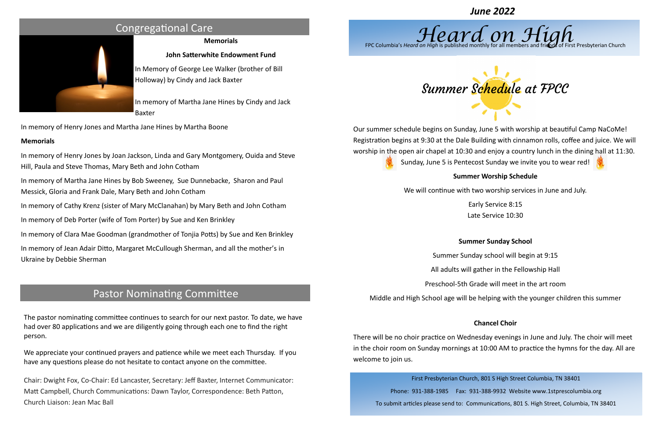### **Memorials**

### **John Satterwhite Endowment Fund**

In Memory of George Lee Walker (brother of Bill Holloway) by Cindy and Jack Baxter

In memory of Martha Jane Hines by Cindy and Jack Baxter

In memory of Henry Jones and Martha Jane Hines by Martha Boone

### **Memorials**

In memory of Henry Jones by Joan Jackson, Linda and Gary Montgomery, Ouida and Steve Hill, Paula and Steve Thomas, Mary Beth and John Cotham

In memory of Martha Jane Hines by Bob Sweeney, Sue Dunnebacke, Sharon and Paul Messick, Gloria and Frank Dale, Mary Beth and John Cotham

In memory of Cathy Krenz (sister of Mary McClanahan) by Mary Beth and John Cotham

In memory of Deb Porter (wife of Tom Porter) by Sue and Ken Brinkley

In memory of Clara Mae Goodman (grandmother of Tonjia Potts) by Sue and Ken Brinkley

In memory of Jean Adair Ditto, Margaret McCullough Sherman, and all the mother's in Ukraine by Debbie Sherman

# Congregational Care

## Pastor Nominating Committee

The pastor nominating committee continues to search for our next pastor. To date, we have had over 80 applications and we are diligently going through each one to find the right person.

We appreciate your continued prayers and patience while we meet each Thursday. If you have any questions please do not hesitate to contact anyone on the committee.

Chair: Dwight Fox, Co-Chair: Ed Lancaster, Secretary: Jeff Baxter, Internet Communicator: Matt Campbell, Church Communications: Dawn Taylor, Correspondence: Beth Patton, Church Liaison: Jean Mac Ball





First Presbyterian Church, 801 S High Street Columbia, TN 38401

Phone: 931-388-1985 Fax: 931-388-9932 Website www.1stprescolumbia.org To submit articles please send to: Communications, 801 S. High Street, Columbia, TN 38401





Our summer schedule begins on Sunday, June 5 with worship at beautiful Camp NaCoMe! Registration begins at 9:30 at the Dale Building with cinnamon rolls, coffee and juice. We will worship in the open air chapel at 10:30 and enjoy a country lunch in the dining hall at 11:30. Sunday, June 5 is Pentecost Sunday we invite you to wear red!

### **Summer Worship Schedule**

We will continue with two worship services in June and July.

Early Service 8:15 Late Service 10:30

### **Summer Sunday School**

Summer Sunday school will begin at 9:15

All adults will gather in the Fellowship Hall

Preschool-5th Grade will meet in the art room

Middle and High School age will be helping with the younger children this summer

### **Chancel Choir**

There will be no choir practice on Wednesday evenings in June and July. The choir will meet in the choir room on Sunday mornings at 10:00 AM to practice the hymns for the day. All are welcome to join us.